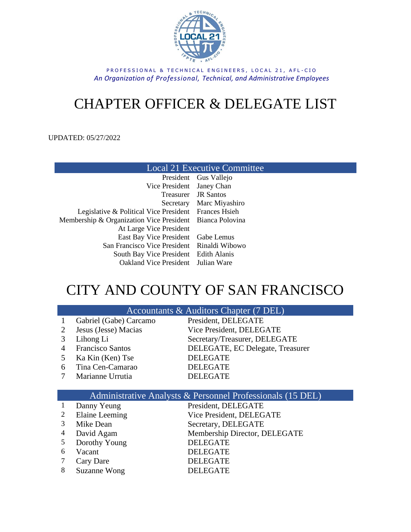

PROFESSIONAL & TECHNICAL ENGINEERS, LOCAL 21, AFL-CIO *An Organization of Professional, Technical, and Administrative Employees*

# CHAPTER OFFICER & DELEGATE LIST

UPDATED: 05/27/2022

|                                                          | <b>Local 21 Executive Committee</b> |
|----------------------------------------------------------|-------------------------------------|
|                                                          | President Gus Vallejo               |
| Vice President Janey Chan                                |                                     |
|                                                          | Treasurer JR Santos                 |
|                                                          | Secretary Marc Miyashiro            |
| Legislative & Political Vice President Frances Hsieh     |                                     |
| Membership & Organization Vice President Bianca Polovina |                                     |
| At Large Vice President                                  |                                     |
| East Bay Vice President Gabe Lemus                       |                                     |
| San Francisco Vice President Rinaldi Wibowo              |                                     |
| South Bay Vice President Edith Alanis                    |                                     |
| Oakland Vice President Julian Ware                       |                                     |

# CITY AND COUNTY OF SAN FRANCISCO

|                | Accountants & Auditors Chapter (7 DEL) |                                                            |  |  |
|----------------|----------------------------------------|------------------------------------------------------------|--|--|
| 1              | Gabriel (Gabe) Carcamo                 | President, DELEGATE                                        |  |  |
| 2              | Jesus (Jesse) Macias                   | Vice President, DELEGATE                                   |  |  |
| 3              | Lihong Li                              | Secretary/Treasurer, DELEGATE                              |  |  |
| $\overline{4}$ | Francisco Santos                       | DELEGATE, EC Delegate, Treasurer                           |  |  |
| 5              | Ka Kin (Ken) Tse                       | <b>DELEGATE</b>                                            |  |  |
| 6              | Tina Cen-Camarao                       | <b>DELEGATE</b>                                            |  |  |
| 7              | Marianne Urrutia                       | <b>DELEGATE</b>                                            |  |  |
|                |                                        |                                                            |  |  |
|                |                                        |                                                            |  |  |
|                |                                        | Administrative Analysts & Personnel Professionals (15 DEL) |  |  |
| 1              | Danny Yeung                            | President, DELEGATE                                        |  |  |
| 2              | Elaine Leeming                         | Vice President, DELEGATE                                   |  |  |
| 3              | Mike Dean                              | Secretary, DELEGATE                                        |  |  |
| 4              | David Agam                             | Membership Director, DELEGATE                              |  |  |
| 5              | Dorothy Young                          | <b>DELEGATE</b>                                            |  |  |
| 6              | Vacant                                 | <b>DELEGATE</b>                                            |  |  |
| 7              | Cary Dare                              | <b>DELEGATE</b>                                            |  |  |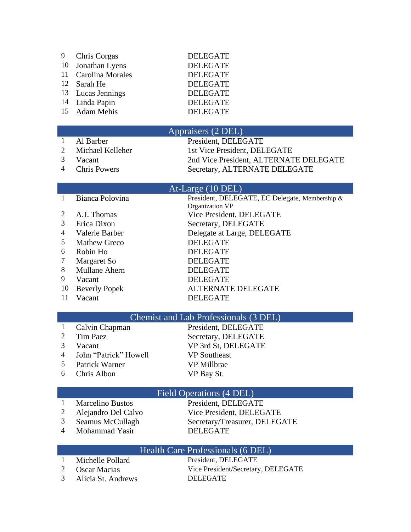| 9 | Chris Corgas        | <b>DELEGATE</b> |
|---|---------------------|-----------------|
|   | 10 Jonathan Lyens   | <b>DELEGATE</b> |
|   | 11 Carolina Morales | <b>DELEGATE</b> |
|   | 12 Sarah He         | <b>DELEGATE</b> |
|   | 13 Lucas Jennings   | <b>DELEGATE</b> |
|   | 14 Linda Papin      | <b>DELEGATE</b> |
|   | 15 Adam Mehis       | <b>DELEGATE</b> |

#### Appraisers (2 DEL)

- 
- 

1 Al Barber President, DELEGATE 2 Michael Kelleher 1st Vice President, DELEGATE Vacant 2nd Vice President, ALTERNATE DELEGATE 4 Chris Powers Secretary, ALTERNATE DELEGATE

#### At-Large (10 DEL)

|    | Bianca Polovina      | President, DELEGATE, EC Delegate, Membership & |
|----|----------------------|------------------------------------------------|
|    |                      | Organization VP                                |
| 2  | A.J. Thomas          | Vice President, DELEGATE                       |
| 3  | Erica Dixon          | Secretary, DELEGATE                            |
| 4  | Valerie Barber       | Delegate at Large, DELEGATE                    |
| 5  | <b>Mathew Greco</b>  | <b>DELEGATE</b>                                |
| 6  | Robin Ho             | <b>DELEGATE</b>                                |
|    | Margaret So          | <b>DELEGATE</b>                                |
| 8  | <b>Mullane Ahern</b> | <b>DELEGATE</b>                                |
| 9  | Vacant               | <b>DELEGATE</b>                                |
| 10 | <b>Beverly Popek</b> | <b>ALTERNATE DELEGATE</b>                      |
| 11 | Vacant               | <b>DELEGATE</b>                                |
|    |                      |                                                |

# Chemist and Lab Professionals (3 DEL)<br>Calvin Chapman President, DELEGATE

- 
- 
- John "Patrick" Howell VP Southeast
- Patrick Warner VP Millbrae
- Chris Albon VP Bay St.

1 Calvin Chapman President, DELEGATE 2 Tim Paez Secretary, DELEGATE Vacant VP 3rd St, DELEGATE

## Field Operations (4 DEL)

- 
- 
- 
- Mohammad Yasir DELEGATE

 Marcelino Bustos President, DELEGATE Alejandro Del Calvo Vice President, DELEGATE Seamus McCullagh Secretary/Treasurer, DELEGATE

# Health Care Professionals (6 DEL)

- 1 Michelle Pollard President, DELEGATE
- 
- Alicia St. Andrews DELEGATE

2 Oscar Macias Vice President/Secretary, DELEGATE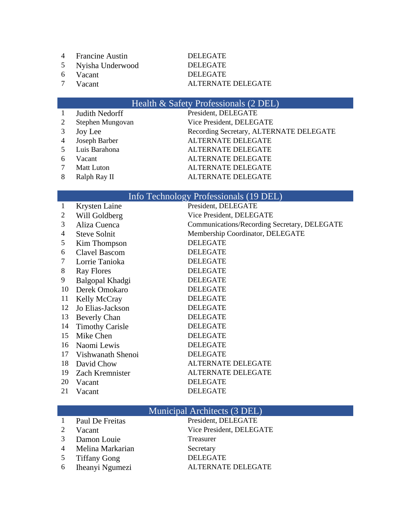- Francine Austin DELEGATE
- 
- 
- 

# Nyisha Underwood DELEGATE 6 Vacant DELEGATE<br>7 Vacant ALTERNATI Vacant ALTERNATE DELEGATE

# Health & Safety Professionals (2 DEL)

|                | <b>Judith Nedorff</b> | President, DELEGATE                     |
|----------------|-----------------------|-----------------------------------------|
| 2              | Stephen Mungovan      | Vice President, DELEGATE                |
| 3              | Joy Lee               | Recording Secretary, ALTERNATE DELEGATE |
| $\overline{4}$ | Joseph Barber         | <b>ALTERNATE DELEGATE</b>               |
|                | 5 Luis Barahona       | ALTERNATE DELEGATE                      |
| -6             | Vacant                | <b>ALTERNATE DELEGATE</b>               |
| $\tau$         | <b>Matt Luton</b>     | <b>ALTERNATE DELEGATE</b>               |
| 8              | Ralph Ray II          | <b>ALTERNATE DELEGATE</b>               |

# Info Technology Professionals (19 DEL)

| 1  | Krysten Laine          | President, DELEGATE                          |
|----|------------------------|----------------------------------------------|
| 2  | Will Goldberg          | Vice President, DELEGATE                     |
| 3  | Aliza Cuenca           | Communications/Recording Secretary, DELEGATE |
| 4  | <b>Steve Solnit</b>    | Membership Coordinator, DELEGATE             |
| 5  | Kim Thompson           | <b>DELEGATE</b>                              |
| 6  | Clavel Bascom          | <b>DELEGATE</b>                              |
| 7  | Lorrie Tanioka         | <b>DELEGATE</b>                              |
| 8  | <b>Ray Flores</b>      | <b>DELEGATE</b>                              |
| 9  | Balgopal Khadgi        | <b>DELEGATE</b>                              |
| 10 | Derek Omokaro          | <b>DELEGATE</b>                              |
| 11 | Kelly McCray           | <b>DELEGATE</b>                              |
| 12 | Jo Elias-Jackson       | <b>DELEGATE</b>                              |
| 13 | <b>Beverly Chan</b>    | <b>DELEGATE</b>                              |
| 14 | <b>Timothy Carisle</b> | <b>DELEGATE</b>                              |
| 15 | Mike Chen              | <b>DELEGATE</b>                              |
| 16 | Naomi Lewis            | <b>DELEGATE</b>                              |
| 17 | Vishwanath Shenoi      | <b>DELEGATE</b>                              |
| 18 | David Chow             | <b>ALTERNATE DELEGATE</b>                    |
| 19 | Zach Kremnister        | <b>ALTERNATE DELEGATE</b>                    |
| 20 | Vacant                 | <b>DELEGATE</b>                              |
| 21 | Vacant                 | <b>DELEGATE</b>                              |
|    |                        |                                              |

# Municipal Architects (3 DEL)

| $\mathbf{1}$ | <b>Paul De Freitas</b> | President, DELEGATE       |
|--------------|------------------------|---------------------------|
| 2            | Vacant                 | Vice President, DELEGATE  |
|              | 3 Damon Louie          | Treasurer                 |
|              | 4 Melina Markarian     | Secretary                 |
|              | 5 Tiffany Gong         | <b>DELEGATE</b>           |
|              | 6 Iheanyi Ngumezi      | <b>ALTERNATE DELEGATE</b> |
|              |                        |                           |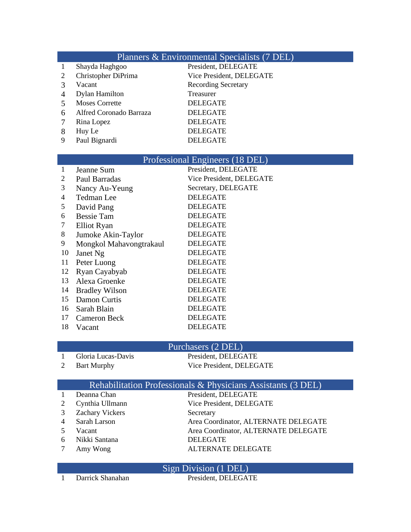### Planners & Environmental Specialists (7 DEL)<br>
Shayda Haghgoo President, DELEGATE Shayda Haghgoo President, DELEGATE Christopher DiPrima Vice President, DELEGATE 3 Vacant Recording Secretary<br>4 Dylan Hamilton Treasurer 4 Dylan Hamilton Moses Corrette DELEGATE Alfred Coronado Barraza DELEGATE Rina Lopez DELEGATE 8 Huy Le DELEGATE Paul Bignardi DELEGATE

## Professional Engineers (18 DEL)

| $\mathbf{1}$ | Jeanne Sum              | President, DELEGATE      |
|--------------|-------------------------|--------------------------|
| 2            | Paul Barradas           | Vice President, DELEGATE |
| 3            | Nancy Au-Yeung          | Secretary, DELEGATE      |
| 4            | <b>Tedman Lee</b>       | <b>DELEGATE</b>          |
| 5            | David Pang              | <b>DELEGATE</b>          |
| 6            | <b>Bessie Tam</b>       | <b>DELEGATE</b>          |
| 7            | Elliot Ryan             | <b>DELEGATE</b>          |
| 8            | Jumoke Akin-Taylor      | <b>DELEGATE</b>          |
| 9            | Mongkol Mahavongtrakaul | <b>DELEGATE</b>          |
| 10           | Janet Ng                | <b>DELEGATE</b>          |
| 11           | Peter Luong             | <b>DELEGATE</b>          |
| 12           | Ryan Cayabyab           | <b>DELEGATE</b>          |
| 13           | Alexa Groenke           | <b>DELEGATE</b>          |
| 14           | <b>Bradley Wilson</b>   | <b>DELEGATE</b>          |
| 15           | Damon Curtis            | <b>DELEGATE</b>          |
| 16           | Sarah Blain             | <b>DELEGATE</b>          |
| 17           | Cameron Beck            | <b>DELEGATE</b>          |
| 18           | Vacant                  | <b>DELEGATE</b>          |

# Purchasers (2 DEL)

- Gloria Lucas-Davis President, DELEGATE
- 

# 2 Bart Murphy Vice President, DELEGATE

# Rehabilitation Professionals & Physicians Assistants (3 DEL)

|                 | Deanna Chan            | President, DELEGATE                  |
|-----------------|------------------------|--------------------------------------|
| 2               | Cynthia Ullmann        | Vice President, DELEGATE             |
| 3               | <b>Zachary Vickers</b> | Secretary                            |
| $\overline{4}$  | Sarah Larson           | Area Coordinator, ALTERNATE DELEGATE |
| $\overline{5}$  | Vacant                 | Area Coordinator, ALTERNATE DELEGATE |
| 6               | Nikki Santana          | <b>DELEGATE</b>                      |
| $7\phantom{.0}$ | Amy Wong               | <b>ALTERNATE DELEGATE</b>            |
|                 |                        |                                      |

Sign Division (1 DEL) 1 Darrick Shanahan President, DELEGATE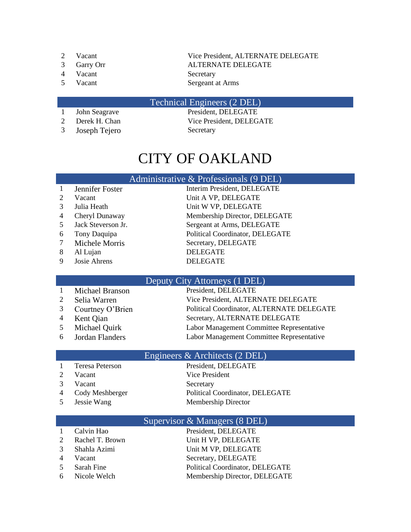- 
- 
- 4 Vacant Secretary
- 

2 Vacant Vice President, ALTERNATE DELEGATE 3 Garry Orr ALTERNATE DELEGATE 5 Vacant Sergeant at Arms

#### Technical Engineers (2 DEL)

- 
- 
- 3 Joseph Tejero Secretary

1 John Seagrave President, DELEGATE 2 Derek H. Chan Vice President, DELEGATE

# CITY OF OAKLAND

## Administrative & Professionals (9 DEL)

|               | Jennifer Foster    | Interim President, DELEGATE     |
|---------------|--------------------|---------------------------------|
|               | Vacant             | Unit A VP, DELEGATE             |
| $\mathcal{F}$ | Julia Heath        | Unit W VP, DELEGATE             |
|               | Cheryl Dunaway     | Membership Director, DELEGATE   |
| 5.            | Jack Steverson Jr. | Sergeant at Arms, DELEGATE      |
| 6             | Tony Daquipa       | Political Coordinator, DELEGATE |
|               | Michele Morris     | Secretary, DELEGATE             |

- 8 Al Lujan DELEGATE
- 9 Josie Ahrens DELEGATE

Deputy City Attorneys (1 DEL) 1 Michael Branson President, DELEGATE 2 Selia Warren Vice President, ALTERNATE DELEGATE 3 Courtney O'Brien Political Coordinator, ALTERNATE DELEGATE 4 Kent Qian Secretary, ALTERNATE DELEGATE 5 Michael Quirk Labor Management Committee Representative<br>6 Jordan Flanders Labor Management Committee Representative 6 Jordan Flanders Labor Management Committee Representative

# Engineers & Architects (2 DEL)

- 1 Teresa Peterson President, DELEGATE
- 
- 
- 
- 

2 Vacant Vice President 3 Vacant Secretary 4 Cody Meshberger Political Coordinator, DELEGATE 5 Jessie Wang Membership Director

# Supervisor & Managers (8 DEL)

1 Calvin Hao President, DELEGATE 2 Rachel T. Brown Unit H VP, DELEGATE 3 Shahla Azimi Unit M VP, DELEGATE 4 Vacant Secretary, DELEGATE 5 Sarah Fine Political Coordinator, DELEGATE 6 Nicole Welch Membership Director, DELEGATE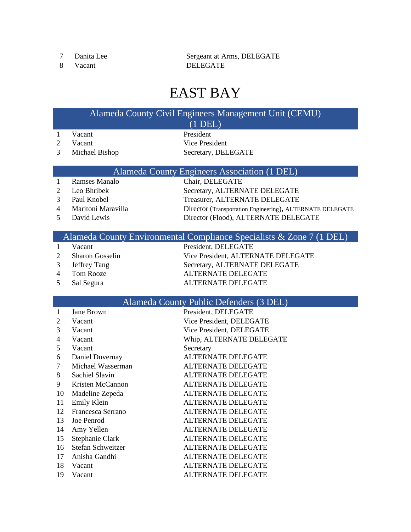7 Danita Lee Sergeant at Arms, DELEGATE 8 Vacant DELEGATE

# EAST BAY

|                                              | Alameda County Civil Engineers Management Unit (CEMU) |                     |  |  |
|----------------------------------------------|-------------------------------------------------------|---------------------|--|--|
|                                              | $(1$ DEL)                                             |                     |  |  |
|                                              | Vacant                                                | President           |  |  |
| 2                                            | Vacant                                                | Vice President      |  |  |
| 3                                            | Michael Bishop                                        | Secretary, DELEGATE |  |  |
| Alameda County Engineers Association (1 DEL) |                                                       |                     |  |  |
|                                              |                                                       |                     |  |  |

- 
- 
- 
- 
- 

Ramses Manalo Chair, DELEGATE

2 Leo Bhribek Secretary, ALTERNATE DELEGATE

Paul Knobel Treasurer, ALTERNATE DELEGATE

 Maritoni Maravilla Director (Transportation Engineering), ALTERNATE DELEGATE 5 David Lewis Director (Flood), ALTERNATE DELEGATE

#### Alameda County Environmental Compliance Specialists & Zone 7 (1 DEL)

- 
- 
- 
- 
- 

1 Vacant President, DELEGATE Sharon Gosselin Vice President, ALTERNATE DELEGATE 3 Jeffrey Tang Secretary, ALTERNATE DELEGATE Tom Rooze ALTERNATE DELEGATE Sal Segura ALTERNATE DELEGATE

# Alameda County Public Defenders (3 DEL)

| 1  | Jane Brown        | President, DELEGATE       |
|----|-------------------|---------------------------|
| 2  | Vacant            | Vice President, DELEGATE  |
| 3  | Vacant            | Vice President, DELEGATE  |
| 4  | Vacant            | Whip, ALTERNATE DELEGATE  |
| 5  | Vacant            | Secretary                 |
| 6  | Daniel Duvernay   | <b>ALTERNATE DELEGATE</b> |
| 7  | Michael Wasserman | <b>ALTERNATE DELEGATE</b> |
| 8  | Sachiel Slavin    | <b>ALTERNATE DELEGATE</b> |
| 9  | Kristen McCannon  | <b>ALTERNATE DELEGATE</b> |
| 10 | Madeline Zepeda   | <b>ALTERNATE DELEGATE</b> |
| 11 | Emily Klein       | <b>ALTERNATE DELEGATE</b> |
| 12 | Francesca Serrano | <b>ALTERNATE DELEGATE</b> |
| 13 | Joe Penrod        | <b>ALTERNATE DELEGATE</b> |
| 14 | Amy Yellen        | <b>ALTERNATE DELEGATE</b> |
| 15 | Stephanie Clark   | <b>ALTERNATE DELEGATE</b> |
| 16 | Stefan Schweitzer | <b>ALTERNATE DELEGATE</b> |
| 17 | Anisha Gandhi     | <b>ALTERNATE DELEGATE</b> |
| 18 | Vacant            | <b>ALTERNATE DELEGATE</b> |
| 19 | Vacant            | <b>ALTERNATE DELEGATE</b> |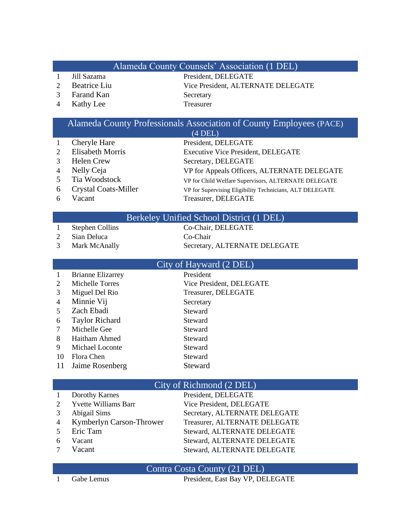## Alameda County Counsels' Association (1 DEL)

Jill Sazama President, DELEGATE

- 
- 3 Farand Kan Secretary
- Kathy Lee Treasurer
- 

2 Beatrice Liu Vice President, ALTERNATE DELEGATE

#### Alameda County Professionals Association of County Employees (PACE)  $(4$  DEL)

| $\mathbf{1}$   | Cheryle Hare                | President, DELEGATE                                      |
|----------------|-----------------------------|----------------------------------------------------------|
| 2              | <b>Elisabeth Morris</b>     | <b>Executive Vice President, DELEGATE</b>                |
| $\mathcal{E}$  | Helen Crew                  | Secretary, DELEGATE                                      |
| 4              | Nelly Ceja                  | VP for Appeals Officers, ALTERNATE DELEGATE              |
| 5 <sup>5</sup> | Tia Woodstock               | VP for Child Welfare Supervisors, ALTERNATE DELEGATE     |
| 6              | <b>Crystal Coats-Miller</b> | VP for Supervising Eligibility Technicians, ALT DELEGATE |
| 6              | Vacant                      | Treasurer, DELEGATE                                      |
|                |                             |                                                          |

# Berkeley Unified School District (1 DEL)

- Stephen Collins Co-Chair, DELEGATE
- Sian Deluca Co-Chair
- 

Mark McAnally Secretary, ALTERNATE DELEGATE

|    |                          | City of Hayward (2 DEL)  |
|----|--------------------------|--------------------------|
|    | <b>Brianne Elizarrey</b> | President                |
| 2  | Michelle Torres          | Vice President, DELEGATE |
| 3  | Miguel Del Rio           | Treasurer, DELEGATE      |
| 4  | Minnie Vij               | Secretary                |
| 5  | Zach Ebadi               | Steward                  |
| 6  | <b>Taylor Richard</b>    | Steward                  |
| 7  | Michelle Gee             | Steward                  |
| 8  | Haitham Ahmed            | Steward                  |
| 9  | Michael Loconte          | Steward                  |
| 10 | Flora Chen               | Steward                  |
| 11 | Jaime Rosenberg          | Steward                  |

# City of Richmond (2 DEL)

|                | Dorothy Karnes           | President, DELEGATE           |
|----------------|--------------------------|-------------------------------|
| $\mathcal{D}$  | Yvette Williams Barr     | Vice President, DELEGATE      |
| 3              | Abigail Sims             | Secretary, ALTERNATE DELEGATE |
| $\overline{4}$ | Kymberlyn Carson-Thrower | Treasurer, ALTERNATE DELEGATE |
| $\overline{5}$ | Eric Tam                 | Steward, ALTERNATE DELEGATE   |
| 6              | Vacant                   | Steward, ALTERNATE DELEGATE   |
|                | Vacant                   | Steward, ALTERNATE DELEGATE   |

## Contra Costa County (21 DEL)

Gabe Lemus President, East Bay VP, DELEGATE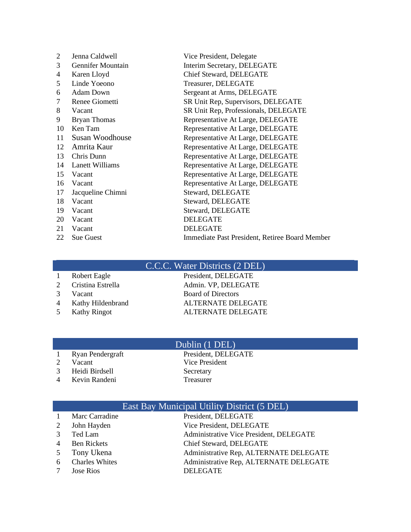| $\overline{2}$ | Jenna Caldwell           | Vice President, Delegate                       |
|----------------|--------------------------|------------------------------------------------|
| 3              | <b>Gennifer Mountain</b> | Interim Secretary, DELEGATE                    |
| 4              | Karen Lloyd              | Chief Steward, DELEGATE                        |
| 5              | Linde Yoeono             | Treasurer, DELEGATE                            |
| 6              | Adam Down                | Sergeant at Arms, DELEGATE                     |
| 7              | Renee Giometti           | SR Unit Rep, Supervisors, DELEGATE             |
| 8              | Vacant                   | SR Unit Rep, Professionals, DELEGATE           |
| 9              | <b>Bryan Thomas</b>      | Representative At Large, DELEGATE              |
| 10             | Ken Tam                  | Representative At Large, DELEGATE              |
| 11             | Susan Woodhouse          | Representative At Large, DELEGATE              |
| 12             | Amrita Kaur              | Representative At Large, DELEGATE              |
| 13             | Chris Dunn               | Representative At Large, DELEGATE              |
| 14             | Lanett Williams          | Representative At Large, DELEGATE              |
| 15             | Vacant                   | Representative At Large, DELEGATE              |
| 16             | Vacant                   | Representative At Large, DELEGATE              |
| 17             | Jacqueline Chimni        | Steward, DELEGATE                              |
| 18             | Vacant                   | Steward, DELEGATE                              |
| 19             | Vacant                   | Steward, DELEGATE                              |
| 20             | Vacant                   | <b>DELEGATE</b>                                |
| 21             | Vacant                   | <b>DELEGATE</b>                                |
| 22             | Sue Guest                | Immediate Past President, Retiree Board Member |

# C.C.C. Water Districts (2 DEL)

- 
- 
- 
- 
- 

1 Robert Eagle President, DELEGATE 2 Cristina Estrella Admin. VP, DELEGATE 3 Vacant Board of Directors 4 Kathy Hildenbrand ALTERNATE DELEGATE<br>5 Kathy Ringot ALTERNATE DELEGATE 5 Kathy Ringot **ALTERNATE DELEGATE** 

# Dublin (1 DEL)

|  | Ryan Pendergraft |  |  |  |
|--|------------------|--|--|--|
|  |                  |  |  |  |

- 
- Kevin Randeni Treasurer

1 Ryan Pendergraft President, DELEGATE 2 Vacant Vice President 3 Heidi Birdsell Secretary

# East Bay Municipal Utility District (5 DEL)

| $\overline{1}$ | Marc Carradine   | President, DELEGATE                     |
|----------------|------------------|-----------------------------------------|
|                | 2 John Hayden    | Vice President, DELEGATE                |
|                | 3 Ted Lam        | Administrative Vice President, DELEGATE |
| $\overline{4}$ | Ben Rickets      | Chief Steward, DELEGATE                 |
|                | 5 Tony Ukena     | Administrative Rep, ALTERNATE DELEGATE  |
|                | 6 Charles Whites | Administrative Rep, ALTERNATE DELEGATE  |
|                |                  |                                         |

Jose Rios DELEGATE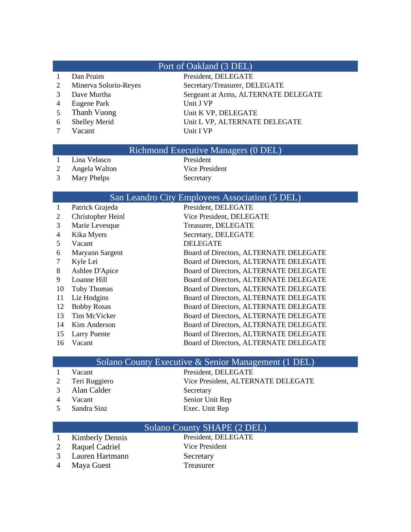# Port of Oakland (3 DEL)

- 
- 
- 
- Eugene Park Unit J VP
- 
- 
- Vacant Unit I VP

1 Dan Pruim President, DELEGATE 2 Minerva Solorio-Reyes Secretary/Treasurer, DELEGATE Dave Murtha Sergeant at Arms, ALTERNATE DELEGATE Thanh Vuong Unit K VP, DELEGATE Shelley Merid Unit L VP, ALTERNATE DELEGATE

# Richmond Executive Managers (0 DEL)

- 1 Lina Velasco
- 

# Angela Walton Vice President

3 Mary Phelps Secretary

# San Leandro City Employees Association (5 DEL)

| -1 | Patrick Grajeda     | President, DELEGATE                    |
|----|---------------------|----------------------------------------|
| 2  | Christopher Heinl   | Vice President, DELEGATE               |
| 3  | Marie Levesque      | Treasurer, DELEGATE                    |
| 4  | Kika Myers          | Secretary, DELEGATE                    |
| 5  | Vacant              | <b>DELEGATE</b>                        |
| 6  | Maryann Sargent     | Board of Directors, ALTERNATE DELEGATE |
| 7  | Kyle Lei            | Board of Directors, ALTERNATE DELEGATE |
| 8  | Ashlee D'Apice      | Board of Directors, ALTERNATE DELEGATE |
| 9  | Loanne Hill         | Board of Directors, ALTERNATE DELEGATE |
| 10 | <b>Toby Thomas</b>  | Board of Directors, ALTERNATE DELEGATE |
| 11 | Liz Hodgins         | Board of Directors, ALTERNATE DELEGATE |
| 12 | <b>Bobby Rosas</b>  | Board of Directors, ALTERNATE DELEGATE |
| 13 | Tim McVicker        | Board of Directors, ALTERNATE DELEGATE |
| 14 | Kim Anderson        | Board of Directors, ALTERNATE DELEGATE |
| 15 | <b>Larry Puente</b> | Board of Directors, ALTERNATE DELEGATE |
| 16 | Vacant              | Board of Directors, ALTERNATE DELEGATE |
|    |                     |                                        |

# Solano County Executive & Senior Management (1 DEL)

| $\overline{1}$ | Vacant          | President, DELEGATE                |
|----------------|-----------------|------------------------------------|
|                | 2 Teri Ruggiero | Vice President, ALTERNATE DELEGATE |
|                | 3 Alan Calder   | Secretary                          |
| $\overline{4}$ | Vacant          | Senior Unit Rep                    |
| $\sim$         | Sandra Sinz     | Exec. Unit Rep                     |
|                |                 |                                    |

# Solano County SHAPE (2 DEL)<br>President, DELEGATE

- 1 Kimberly Dennis
- 2 Raquel Cadriel Vice President
- Lauren Hartmann Secretary
- Maya Guest Treasurer
-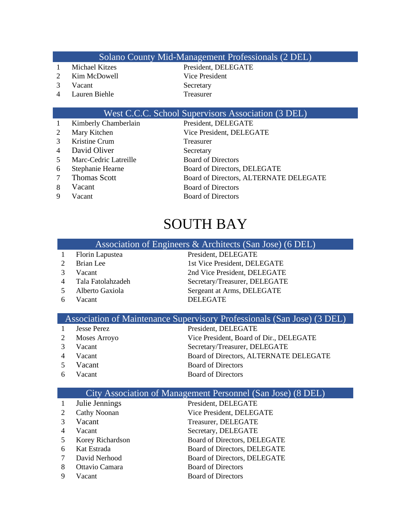## Solano County Mid-Management Professionals (2 DEL)

- Michael Kitzes President, DELEGATE
- 2 Kim McDowell Vice President
- 
- Lauren Biehle Treasurer
- 3 Vacant Secretary

### West C.C.C. School Supervisors Association (3 DEL)

- Kimberly Chamberlain President, DELEGATE
- 
- Kristine Crum Treasurer
- 4 David Oliver Secretary
- Marc-Cedric Latreille Board of Directors
- 
- 
- 
- 
- 2 Mary Kitchen Vice President, DELEGATE Stephanie Hearne Board of Directors, DELEGATE Thomas Scott Board of Directors, ALTERNATE DELEGATE 8 Vacant Board of Directors 9 Vacant Board of Directors

# SOUTH BAY

## Association of Engineers & Architects (San Jose) (6 DEL) Florin Lapustea President, DELEGATE

- 
- 
- 
- 
- 
- 

2 Brian Lee 1st Vice President, DELEGATE Vacant 2nd Vice President, DELEGATE Tala Fatolahzadeh Secretary/Treasurer, DELEGATE Alberto Gaxiola Sergeant at Arms, DELEGATE Vacant DELEGATE

#### Association of Maintenance Supervisory Professionals (San Jose) (3 DEL)

- 1 Jesse Perez President, DELEGATE
- Moses Arroyo Vice President, Board of Dir., DELEGATE
- Vacant Secretary/Treasurer, DELEGATE
- 
- 
- 

## Vacant Board of Directors, ALTERNATE DELEGATE 5 Vacant Board of Directors Vacant Board of Directors

## City Association of Management Personnel (San Jose) (8 DEL)

|               | Julie Jennings      | President, DELEGATE          |
|---------------|---------------------|------------------------------|
| 2             | <b>Cathy Noonan</b> | Vice President, DELEGATE     |
| $\mathcal{R}$ | Vacant              | Treasurer, DELEGATE          |
|               | Vacant              | Secretary, DELEGATE          |
| -5            | Korey Richardson    | Board of Directors, DELEGATE |
| 6             | Kat Estrada         | Board of Directors, DELEGATE |
|               | David Nerhood       | Board of Directors, DELEGATE |
| 8             | Ottavio Camara      | <b>Board of Directors</b>    |
|               | Vacant              | <b>Board of Directors</b>    |
|               |                     |                              |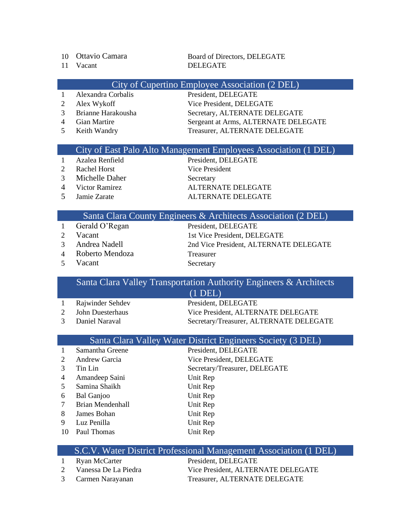- 
- 

10 Ottavio Camara Board of Directors, DELEGATE 11 Vacant DELEGATE

City of Cupertino Employee Association (2 DEL)

- 1 Alexandra Corbalis President, DELEGATE
- 
- 
- 
- 

2 Alex Wykoff Vice President, DELEGATE

3 Brianne Harakousha Secretary, ALTERNATE DELEGATE 4 Gian Martire Sergeant at Arms, ALTERNATE DELEGATE

5 Keith Wandry Treasurer, ALTERNATE DELEGATE

#### City of East Palo Alto Management Employees Association (1 DEL)

- 
- 2 Rachel Horst Vice President
- 3 Michelle Daher Secretary
- 
- 

1 Azalea Renfield President, DELEGATE 4 Victor Ramirez ALTERNATE DELEGATE 5 Jamie Zarate ALTERNATE DELEGATE

#### Santa Clara County Engineers & Architects Association (2 DEL)

- 1 Gerald O'Regan President, DELEGATE
- 
- 
- 4 Roberto Mendoza Treasurer
- 5 Vacant Secretary

2 Vacant 1st Vice President, DELEGATE 3 Andrea Nadell 2nd Vice President, ALTERNATE DELEGATE

## Santa Clara Valley Transportation Authority Engineers & Architects (1 DEL)

- 
- 
- 

1 Rajwinder Sehdev President, DELEGATE 2 John Duesterhaus Vice President, ALTERNATE DELEGATE 3 Daniel Naraval Secretary/Treasurer, ALTERNATE DELEGATE

# Santa Clara Valley Water District Engineers Society (3 DEL)

|                | Samantha Greene         | President, DELEGATE           |
|----------------|-------------------------|-------------------------------|
| 2              | Andrew Garcia           | Vice President, DELEGATE      |
| 3              | Tin Lin                 | Secretary/Treasurer, DELEGATE |
| $\overline{4}$ | Amandeep Saini          | Unit Rep                      |
| 5              | Samina Shaikh           | Unit Rep                      |
| 6              | <b>Bal Ganjoo</b>       | Unit Rep                      |
| 7              | <b>Brian Mendenhall</b> | Unit Rep                      |
| 8              | James Bohan             | Unit Rep                      |
| 9              | Luz Penilla             | Unit Rep                      |
| 10             | Paul Thomas             | Unit Rep                      |
|                |                         |                               |

#### S.C.V. Water District Professional Management Association (1 DEL)

1 Ryan McCarter President, DELEGATE

2 Vanessa De La Piedra Vice President, ALTERNATE DELEGATE 3 Carmen Narayanan Treasurer, ALTERNATE DELEGATE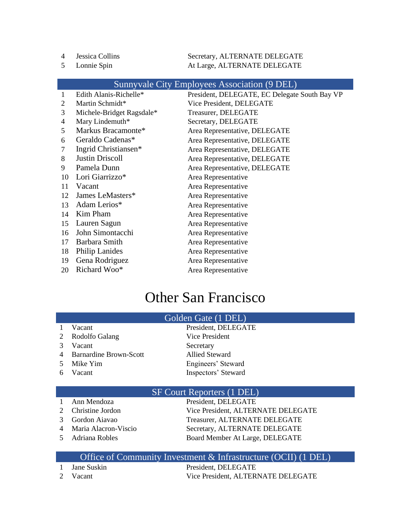- 
- 

4 Jessica Collins Secretary, ALTERNATE DELEGATE Lonnie Spin At Large, ALTERNATE DELEGATE

# Sunnyvale City Employees Association (9 DEL)

| 1  | Edith Alanis-Richelle*    | President, DELEGATE, EC Delegate South Bay VP |
|----|---------------------------|-----------------------------------------------|
| 2  | Martin Schmidt*           | Vice President, DELEGATE                      |
| 3  | Michele-Bridget Ragsdale* | Treasurer, DELEGATE                           |
| 4  | Mary Lindemuth*           | Secretary, DELEGATE                           |
| 5  | Markus Bracamonte*        | Area Representative, DELEGATE                 |
| 6  | Geraldo Cadenas*          | Area Representative, DELEGATE                 |
| 7  | Ingrid Christiansen*      | Area Representative, DELEGATE                 |
| 8  | Justin Driscoll           | Area Representative, DELEGATE                 |
| 9  | Pamela Dunn               | Area Representative, DELEGATE                 |
| 10 | Lori Giarrizzo*           | Area Representative                           |
| 11 | Vacant                    | Area Representative                           |
| 12 | James LeMasters*          | Area Representative                           |
| 13 | Adam Lerios*              | Area Representative                           |
| 14 | Kim Pham                  | Area Representative                           |
| 15 | Lauren Sagun              | Area Representative                           |
| 16 | John Simontacchi          | Area Representative                           |
| 17 | Barbara Smith             | Area Representative                           |
| 18 | <b>Philip Lanides</b>     | Area Representative                           |
| 19 | Gena Rodriguez            | Area Representative                           |
| 20 | Richard Woo*              | Area Representative                           |

# Other San Francisco

# Golden Gate (1 DEL)

| 1 Vacant                 | President, DELEGATE   |
|--------------------------|-----------------------|
| 2 Rodolfo Galang         | Vice President        |
| 3 Vacant                 | Secretary             |
| 4 Barnardine Brown-Scott | <b>Allied Steward</b> |
| 5 Mike Yim               | Engineers' Steward    |
| 6 Vacant                 | Inspectors' Steward   |
|                          |                       |

# SF Court Reporters (1 DEL)

- Ann Mendoza President, DELEGATE
- 
- 
- 
- 

 Christine Jordon Vice President, ALTERNATE DELEGATE Gordon Aiavao Treasurer, ALTERNATE DELEGATE Maria Alacron-Viscio Secretary, ALTERNATE DELEGATE 5 Adriana Robles Board Member At Large, DELEGATE

# Office of Community Investment & Infrastructure (OCII) (1 DEL)

1 Jane Suskin President, DELEGATE 2 Vacant Vice President, ALTERNATE DELEGATE